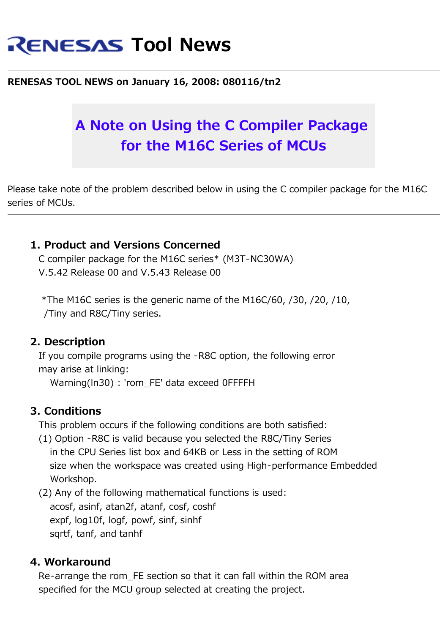# **RENESAS Tool News**

#### **RENESAS TOOL NEWS on January 16, 2008: 080116/tn2**

## **A Note on Using the C Compiler Package for the M16C Series of MCUs**

Please take note of the problem described below in using the C compiler package for the M16C series of MCUs.

#### **1. Product and Versions Concerned**

 C compiler package for the M16C series\* (M3T-NC30WA) V.5.42 Release 00 and V.5.43 Release 00

\*The M16C series is the generic name of the M16C/60,  $/30$ ,  $/20$ ,  $/10$ , /Tiny and R8C/Tiny series.

#### **2. Description**

 If you compile programs using the -R8C option, the following error may arise at linking:

Warning(ln30) : 'rom\_FE' data exceed 0FFFFH

#### **3. Conditions**

This problem occurs if the following conditions are both satisfied:

- (1) Option -R8C is valid because you selected the R8C/Tiny Series in the CPU Series list box and 64KB or Less in the setting of ROM size when the workspace was created using High-performance Embedded Workshop.
- (2) Any of the following mathematical functions is used: acosf, asinf, atan2f, atanf, cosf, coshf expf, log10f, logf, powf, sinf, sinhf sqrtf, tanf, and tanhf

#### **4. Workaround**

Re-arrange the rom FE section so that it can fall within the ROM area specified for the MCU group selected at creating the project.